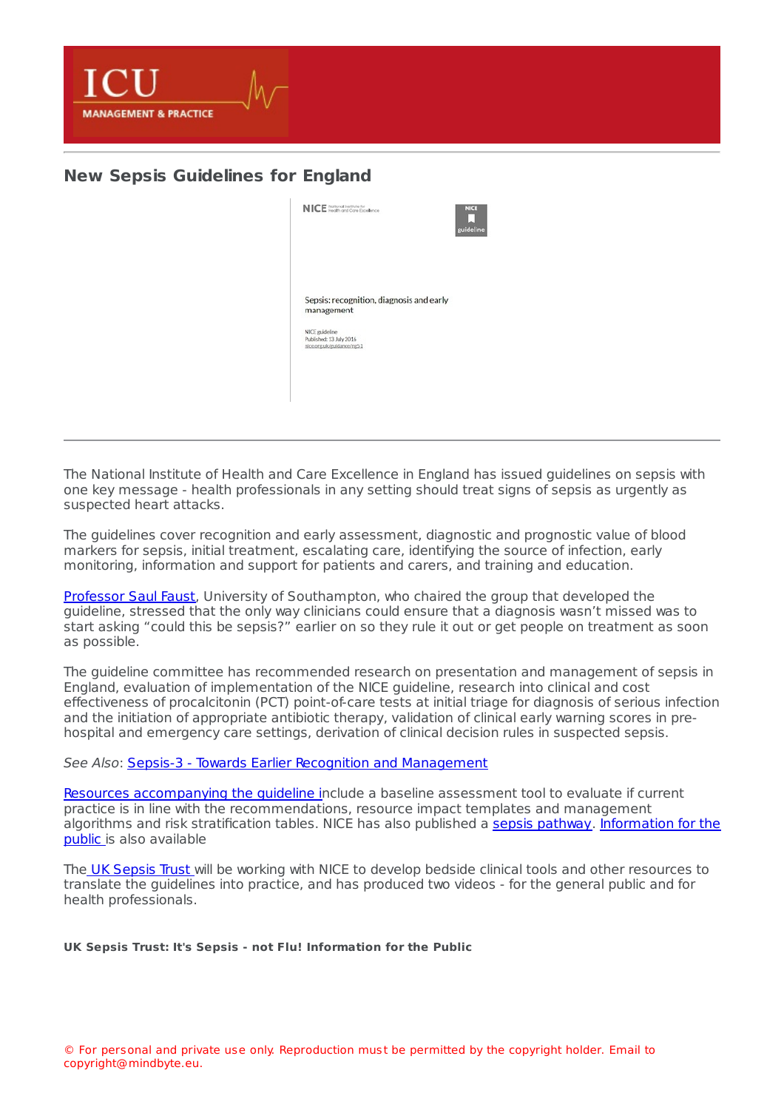

## **New Sepsis [Guidelines](https://healthmanagement.org/s/new-sepsis-guidelines-for-england) for England**



The National Institute of Health and Care Excellence in England has issued guidelines on sepsis with one key message - health professionals in any setting should treat signs of sepsis as urgently as suspected heart attacks.

The guidelines cover recognition and early assessment, diagnostic and prognostic value of blood markers for sepsis, initial treatment, escalating care, identifying the source of infection, early monitoring, information and support for patients and carers, and training and education.

[Professor](https://iii.hm/4k0) Saul Faust, University of Southampton, who chaired the group that developed the guideline, stressed that the only way clinicians could ensure that a diagnosis wasn't missed was to start asking "could this be sepsis?" earlier on so they rule it out or get people on treatment as soon as possible.

The guideline committee has recommended research on presentation and management of sepsis in England, evaluation of implementation of the NICE guideline, research into clinical and cost effectiveness of procalcitonin (PCT) point-of-care tests at initial triage for diagnosis of serious infection and the initiation of appropriate antibiotic therapy, validation of clinical early warning scores in prehospital and emergency care settings, derivation of clinical decision rules in suspected sepsis.

See Also: Sepsis-3 - Towards Earlier Recognition and [Management](https://iii.hm/4k6)

Resources [accompanying](https://iii.hm/4k1) the guideline include a baseline assessment tool to evaluate if current practice is in line with the recommendations, resource impact templates and management algorithms and risk [stratification](https://iii.hm/4k2) tables. NICE has also published a sepsis [pathway](https://iii.hm/4k3). Information for the public is also available

The UK [Sepsis](https://iii.hm/4k5) Trust will be working with NICE to develop bedside clinical tools and other resources to translate the guidelines into practice, and has produced two videos - for the general public and for health professionals.

**UK Sepsis Trust: It's Sepsis - not Flu! Information for the Public**